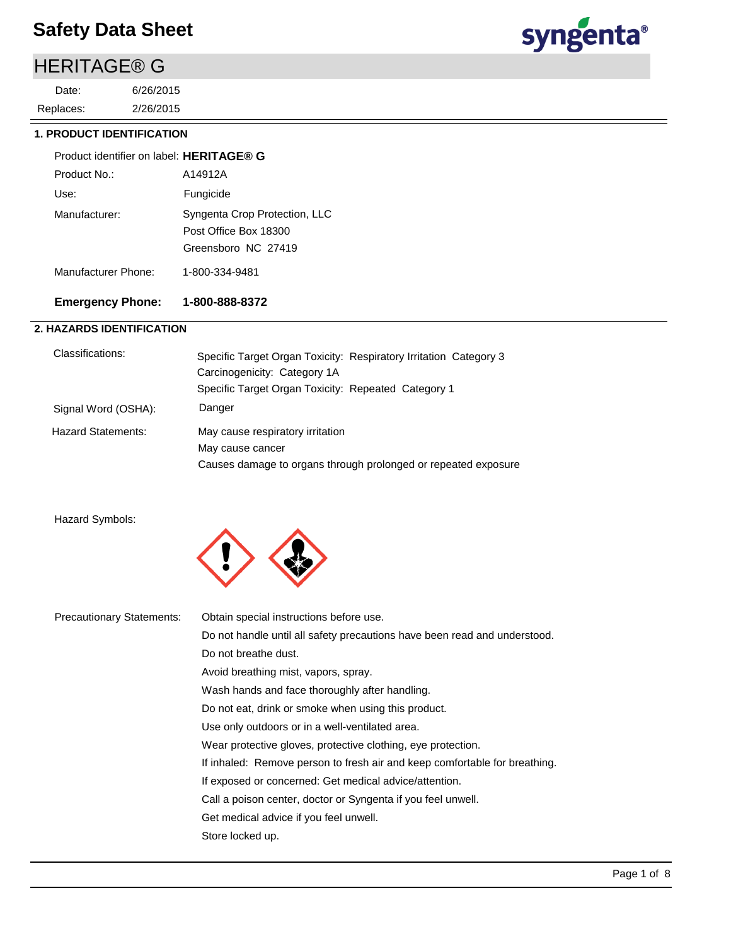## HERITAGE® G

2/26/2015 6/26/2015 Replaces: Date:



### **1. PRODUCT IDENTIFICATION**

| Product identifier on label: HERITAGE® G |                                                                               |
|------------------------------------------|-------------------------------------------------------------------------------|
| Product No.:                             | A14912A                                                                       |
| Use:                                     | Fungicide                                                                     |
| Manufacturer:                            | Syngenta Crop Protection, LLC<br>Post Office Box 18300<br>Greensboro NC 27419 |
| Manufacturer Phone:                      | 1-800-334-9481                                                                |

## **Emergency Phone: 1-800-888-8372**

### **2. HAZARDS IDENTIFICATION**

| Classifications:          | Specific Target Organ Toxicity: Respiratory Irritation Category 3 |
|---------------------------|-------------------------------------------------------------------|
|                           | Carcinogenicity: Category 1A                                      |
|                           | Specific Target Organ Toxicity: Repeated Category 1               |
| Signal Word (OSHA):       | Danger                                                            |
| <b>Hazard Statements:</b> | May cause respiratory irritation                                  |
|                           | May cause cancer                                                  |
|                           | Causes damage to organs through prolonged or repeated exposure    |

### Hazard Symbols:



| <b>Precautionary Statements:</b> | Obtain special instructions before use.                                    |
|----------------------------------|----------------------------------------------------------------------------|
|                                  | Do not handle until all safety precautions have been read and understood.  |
|                                  | Do not breathe dust.                                                       |
|                                  | Avoid breathing mist, vapors, spray.                                       |
|                                  | Wash hands and face thoroughly after handling.                             |
|                                  | Do not eat, drink or smoke when using this product.                        |
|                                  | Use only outdoors or in a well-ventilated area.                            |
|                                  | Wear protective gloves, protective clothing, eye protection.               |
|                                  | If inhaled: Remove person to fresh air and keep comfortable for breathing. |
|                                  | If exposed or concerned: Get medical advice/attention.                     |
|                                  | Call a poison center, doctor or Syngenta if you feel unwell.               |
|                                  | Get medical advice if you feel unwell.                                     |
|                                  | Store locked up.                                                           |
|                                  |                                                                            |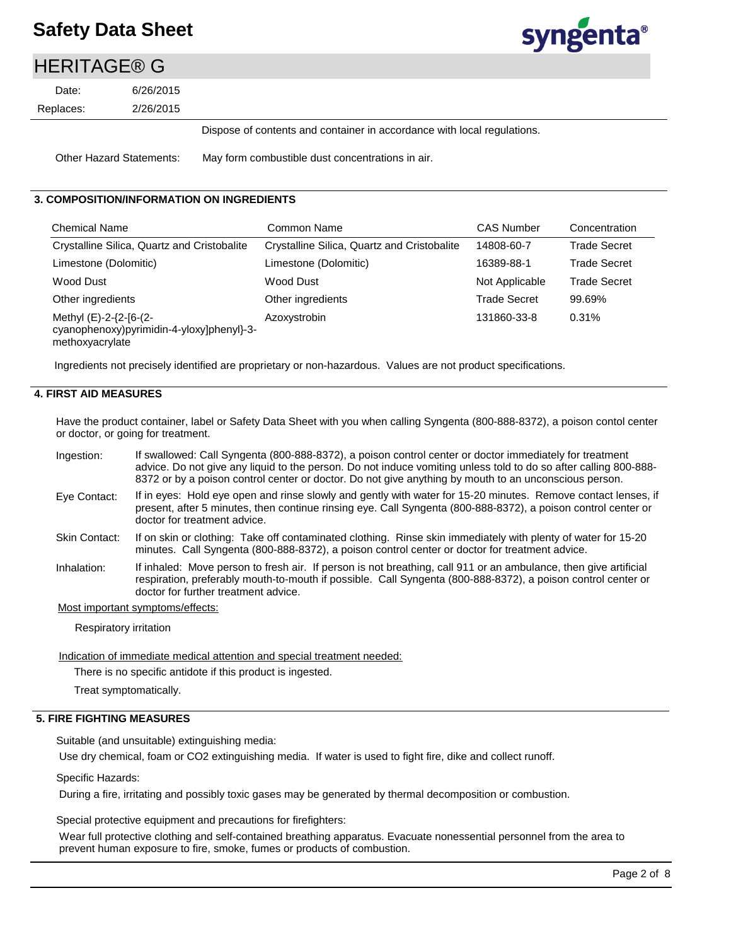

## HERITAGE® G

2/26/2015 6/26/2015 Replaces: Date:

Dispose of contents and container in accordance with local regulations.

Other Hazard Statements: May form combustible dust concentrations in air.

### **3. COMPOSITION/INFORMATION ON INGREDIENTS**

| <b>Chemical Name</b>                                                                   | Common Name                                 | <b>CAS Number</b> | Concentration       |
|----------------------------------------------------------------------------------------|---------------------------------------------|-------------------|---------------------|
| Crystalline Silica, Quartz and Cristobalite                                            | Crystalline Silica, Quartz and Cristobalite | 14808-60-7        | <b>Trade Secret</b> |
| Limestone (Dolomitic)                                                                  | Limestone (Dolomitic)                       | 16389-88-1        | <b>Trade Secret</b> |
| Wood Dust                                                                              | Wood Dust                                   | Not Applicable    | Trade Secret        |
| Other ingredients                                                                      | Other ingredients                           | Trade Secret      | 99.69%              |
| Methyl (E)-2-{2-[6-(2-<br>cyanophenoxy)pyrimidin-4-yloxy]phenyl}-3-<br>methoxyacrylate | Azoxystrobin                                | 131860-33-8       | 0.31%               |

Ingredients not precisely identified are proprietary or non-hazardous. Values are not product specifications.

### **4. FIRST AID MEASURES**

Have the product container, label or Safety Data Sheet with you when calling Syngenta (800-888-8372), a poison contol center or doctor, or going for treatment.

| 8372 or by a poison control center or doctor. Do not give anything by mouth to an unconscious person. |  |
|-------------------------------------------------------------------------------------------------------|--|
|                                                                                                       |  |

- If in eyes: Hold eye open and rinse slowly and gently with water for 15-20 minutes. Remove contact lenses, if present, after 5 minutes, then continue rinsing eye. Call Syngenta (800-888-8372), a poison control center or doctor for treatment advice. Eye Contact:
- If on skin or clothing: Take off contaminated clothing. Rinse skin immediately with plenty of water for 15-20 minutes. Call Syngenta (800-888-8372), a poison control center or doctor for treatment advice. Skin Contact:
- If inhaled: Move person to fresh air. If person is not breathing, call 911 or an ambulance, then give artificial respiration, preferably mouth-to-mouth if possible. Call Syngenta (800-888-8372), a poison control center or doctor for further treatment advice. Inhalation:

Most important symptoms/effects:

Respiratory irritation

Indication of immediate medical attention and special treatment needed:

There is no specific antidote if this product is ingested.

Treat symptomatically.

### **5. FIRE FIGHTING MEASURES**

Suitable (and unsuitable) extinguishing media:

Use dry chemical, foam or CO2 extinguishing media. If water is used to fight fire, dike and collect runoff.

Specific Hazards:

During a fire, irritating and possibly toxic gases may be generated by thermal decomposition or combustion.

Special protective equipment and precautions for firefighters:

Wear full protective clothing and self-contained breathing apparatus. Evacuate nonessential personnel from the area to prevent human exposure to fire, smoke, fumes or products of combustion.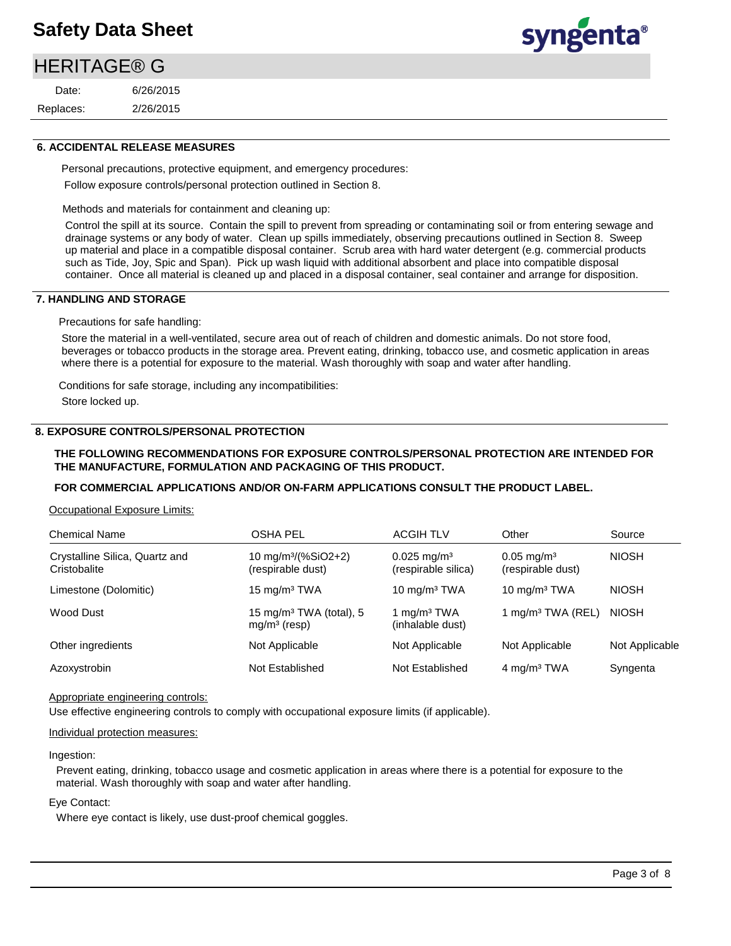## **HERITAGE® G**

2/26/2015 6/26/2015 Replaces: Date:



### **6. ACCIDENTAL RELEASE MEASURES**

Personal precautions, protective equipment, and emergency procedures: Follow exposure controls/personal protection outlined in Section 8.

Methods and materials for containment and cleaning up:

Control the spill at its source. Contain the spill to prevent from spreading or contaminating soil or from entering sewage and drainage systems or any body of water. Clean up spills immediately, observing precautions outlined in Section 8. Sweep up material and place in a compatible disposal container. Scrub area with hard water detergent (e.g. commercial products such as Tide, Joy, Spic and Span). Pick up wash liquid with additional absorbent and place into compatible disposal container. Once all material is cleaned up and placed in a disposal container, seal container and arrange for disposition.

### **7. HANDLING AND STORAGE**

Precautions for safe handling:

Store the material in a well-ventilated, secure area out of reach of children and domestic animals. Do not store food, beverages or tobacco products in the storage area. Prevent eating, drinking, tobacco use, and cosmetic application in areas where there is a potential for exposure to the material. Wash thoroughly with soap and water after handling.

Conditions for safe storage, including any incompatibilities:

Store locked up.

### **8. EXPOSURE CONTROLS/PERSONAL PROTECTION**

### **THE FOLLOWING RECOMMENDATIONS FOR EXPOSURE CONTROLS/PERSONAL PROTECTION ARE INTENDED FOR THE MANUFACTURE, FORMULATION AND PACKAGING OF THIS PRODUCT.**

### **FOR COMMERCIAL APPLICATIONS AND/OR ON-FARM APPLICATIONS CONSULT THE PRODUCT LABEL.**

### Occupational Exposure Limits:

| <b>Chemical Name</b>                           | <b>OSHA PEL</b>                                       | <b>ACGIH TLV</b>                              | Other                                      | Source         |
|------------------------------------------------|-------------------------------------------------------|-----------------------------------------------|--------------------------------------------|----------------|
| Crystalline Silica, Quartz and<br>Cristobalite | 10 mg/m <sup>3</sup> /(%SiO2+2)<br>(respirable dust)  | $0.025 \text{ mg/m}^3$<br>(respirable silica) | $0.05 \text{ mg/m}^3$<br>(respirable dust) | <b>NIOSH</b>   |
| Limestone (Dolomitic)                          | 15 mg/m $3$ TWA                                       | 10 $mq/m3 TWA$                                | 10 $mq/m3 TWA$                             | <b>NIOSH</b>   |
| Wood Dust                                      | 15 mg/m <sup>3</sup> TWA (total), 5<br>$mg/m3$ (resp) | 1 mg/m <sup>3</sup> TWA<br>(inhalable dust)   | 1 mg/m <sup>3</sup> TWA (REL)              | <b>NIOSH</b>   |
| Other ingredients                              | Not Applicable                                        | Not Applicable                                | Not Applicable                             | Not Applicable |
| Azoxystrobin                                   | Not Established                                       | Not Established                               | 4 mg/m <sup>3</sup> TWA                    | Syngenta       |

### Appropriate engineering controls:

Use effective engineering controls to comply with occupational exposure limits (if applicable).

### Individual protection measures:

### Ingestion:

Prevent eating, drinking, tobacco usage and cosmetic application in areas where there is a potential for exposure to the material. Wash thoroughly with soap and water after handling.

### Eye Contact:

Where eye contact is likely, use dust-proof chemical goggles.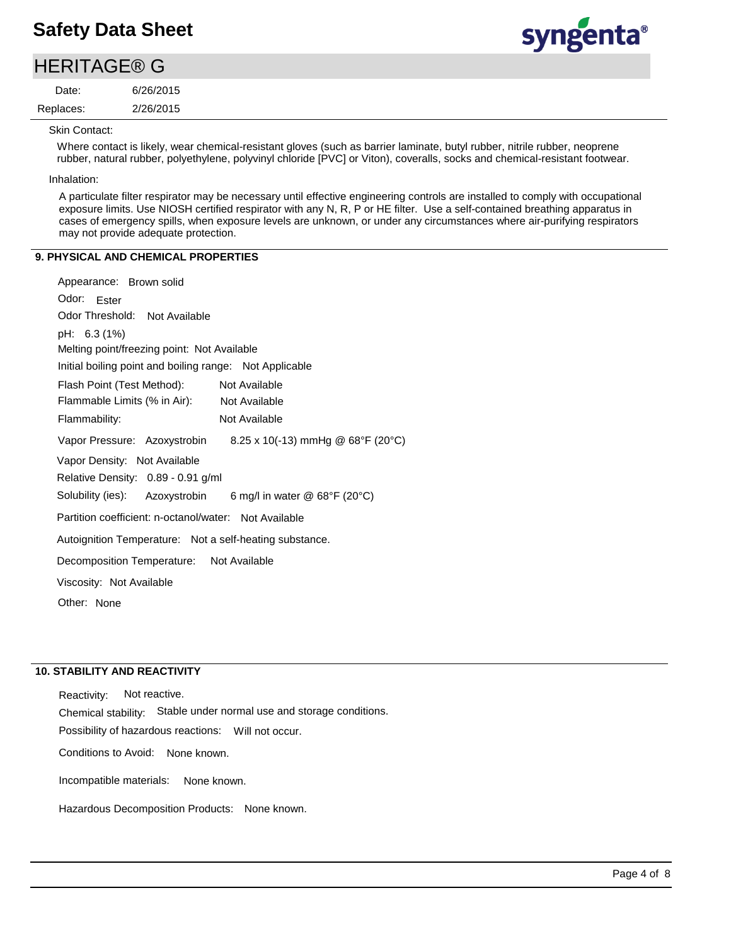### 2/26/2015 6/26/2015 Replaces: Date: **HERITAGE® G**



Skin Contact:

Where contact is likely, wear chemical-resistant gloves (such as barrier laminate, butyl rubber, nitrile rubber, neoprene rubber, natural rubber, polyethylene, polyvinyl chloride [PVC] or Viton), coveralls, socks and chemical-resistant footwear.

Inhalation:

A particulate filter respirator may be necessary until effective engineering controls are installed to comply with occupational exposure limits. Use NIOSH certified respirator with any N, R, P or HE filter. Use a self-contained breathing apparatus in cases of emergency spills, when exposure levels are unknown, or under any circumstances where air-purifying respirators may not provide adequate protection.

### **9. PHYSICAL AND CHEMICAL PROPERTIES**

| Appearance: Brown solid                                         |
|-----------------------------------------------------------------|
| Odor: Ester                                                     |
| Odor Threshold: Not Available                                   |
| pH: 6.3 (1%)                                                    |
| Melting point/freezing point: Not Available                     |
| Initial boiling point and boiling range: Not Applicable         |
| Flash Point (Test Method):<br>Not Available                     |
| Flammable Limits (% in Air): Not Available                      |
| Not Available<br>Flammability:                                  |
| Vapor Pressure: Azoxystrobin 8.25 x 10(-13) mmHg @ 68°F (20°C)  |
| Vapor Density: Not Available                                    |
| Relative Density: 0.89 - 0.91 g/ml                              |
| Solubility (ies): Azoxystrobin<br>6 mg/l in water @ 68°F (20°C) |
| Partition coefficient: n-octanol/water: Not Available           |
| Autoignition Temperature: Not a self-heating substance.         |
| Decomposition Temperature: Not Available                        |
| Viscosity: Not Available                                        |
| Other: None                                                     |
|                                                                 |

### **10. STABILITY AND REACTIVITY**

Incompatible materials: Possibility of hazardous reactions: Will not occur. Chemical stability: Stable under normal use and storage conditions. Hazardous Decomposition Products: None known. Reactivity: Not reactive. Conditions to Avoid: None known. None known.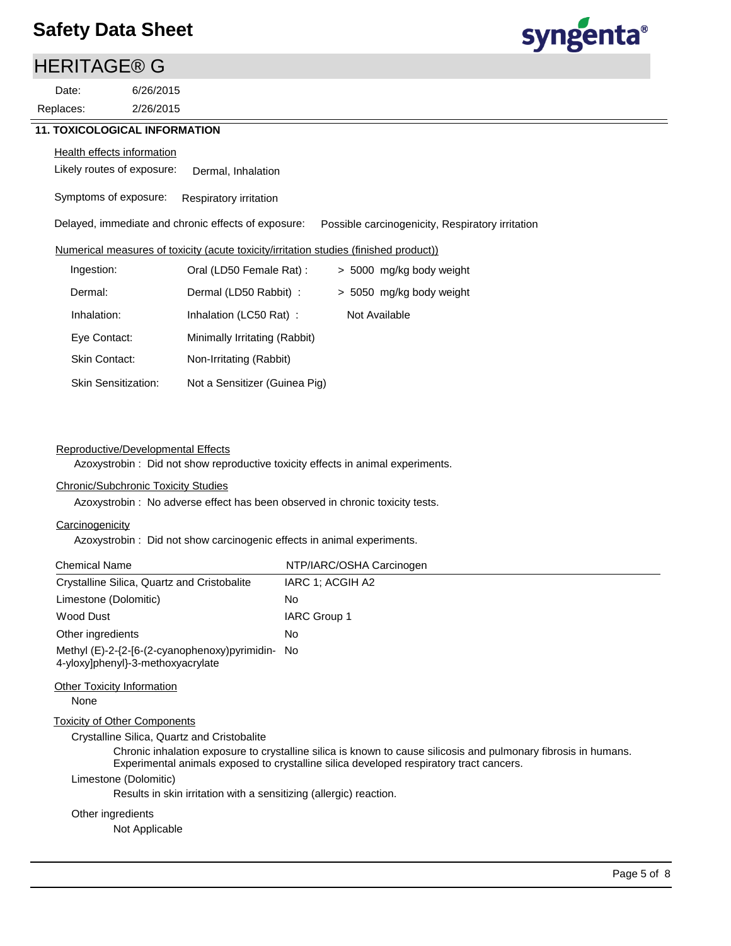## **HERITAGE® G**

2/26/2015 6/26/2015 Replaces: Date:

# syngenta®

### **Health effects information**

Likely routes of exposure: Dermal, Inhalation

Symptoms of exposure: Respiratory irritation

Delayed, immediate and chronic effects of exposure: Possible carcinogenicity, Respiratory irritation

### Numerical measures of toxicity (acute toxicity/irritation studies (finished product))

| Ingestion:                 | Oral (LD50 Female Rat):       | > 5000 mg/kg body weight |
|----------------------------|-------------------------------|--------------------------|
| Dermal:                    | Dermal (LD50 Rabbit) :        | > 5050 mg/kg body weight |
| Inhalation:                | Inhalation (LC50 Rat):        | Not Available            |
| Eye Contact:               | Minimally Irritating (Rabbit) |                          |
| Skin Contact:              | Non-Irritating (Rabbit)       |                          |
| <b>Skin Sensitization:</b> | Not a Sensitizer (Guinea Pig) |                          |

### Reproductive/Developmental Effects

Azoxystrobin : Did not show reproductive toxicity effects in animal experiments.

### Chronic/Subchronic Toxicity Studies

Azoxystrobin : No adverse effect has been observed in chronic toxicity tests.

### **Carcinogenicity**

Azoxystrobin : Did not show carcinogenic effects in animal experiments.

| <b>Chemical Name</b>                                                                  | NTP/IARC/OSHA Carcinogen |
|---------------------------------------------------------------------------------------|--------------------------|
| Crystalline Silica, Quartz and Cristobalite                                           | IARC 1: ACGIH A2         |
| Limestone (Dolomitic)                                                                 | No                       |
| Wood Dust                                                                             | <b>IARC Group 1</b>      |
| Other ingredients                                                                     | No                       |
| Methyl (E)-2-{2-[6-(2-cyanophenoxy)pyrimidin- No<br>4-yloxy]phenyl}-3-methoxyacrylate |                          |
| Other Toxicity Information                                                            |                          |

None

### Toxicity of Other Components

Crystalline Silica, Quartz and Cristobalite

Chronic inhalation exposure to crystalline silica is known to cause silicosis and pulmonary fibrosis in humans. Experimental animals exposed to crystalline silica developed respiratory tract cancers.

### Limestone (Dolomitic)

Results in skin irritation with a sensitizing (allergic) reaction.

### Other ingredients

Not Applicable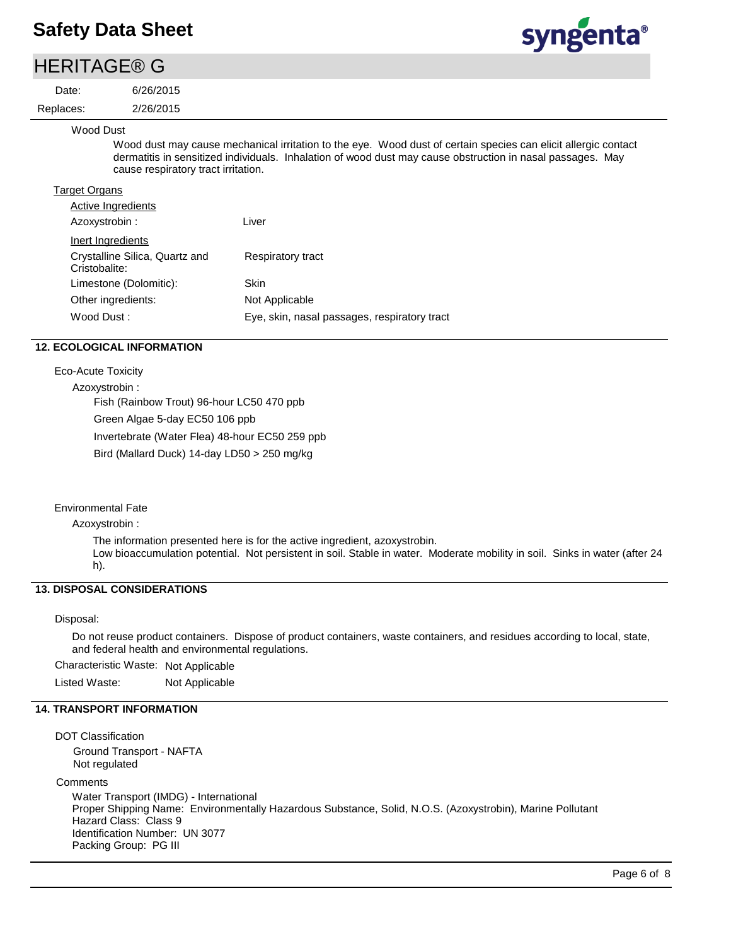6/26/2015

## **HERITAGE® G**

Date:

2/26/2015 Replaces:

### Wood Dust

Wood dust may cause mechanical irritation to the eye. Wood dust of certain species can elicit allergic contact dermatitis in sensitized individuals. Inhalation of wood dust may cause obstruction in nasal passages. May cause respiratory tract irritation.

| <b>Target Organs</b>                            |                                              |
|-------------------------------------------------|----------------------------------------------|
| Active Ingredients                              |                                              |
| Azoxystrobin :                                  | Liver                                        |
| Inert Ingredients                               |                                              |
| Crystalline Silica, Quartz and<br>Cristobalite: | <b>Respiratory tract</b>                     |
| Limestone (Dolomitic):                          | Skin                                         |
| Other ingredients:                              | Not Applicable                               |
| Wood Dust:                                      | Eye, skin, nasal passages, respiratory tract |
|                                                 |                                              |

### **12. ECOLOGICAL INFORMATION**

Eco-Acute Toxicity

Azoxystrobin :

Fish (Rainbow Trout) 96-hour LC50 470 ppb

Green Algae 5-day EC50 106 ppb

Invertebrate (Water Flea) 48-hour EC50 259 ppb

Bird (Mallard Duck) 14-day LD50 > 250 mg/kg

### Environmental Fate

Azoxystrobin :

The information presented here is for the active ingredient, azoxystrobin.

Low bioaccumulation potential. Not persistent in soil. Stable in water. Moderate mobility in soil. Sinks in water (after 24 h).

### **13. DISPOSAL CONSIDERATIONS**

### Disposal:

Do not reuse product containers. Dispose of product containers, waste containers, and residues according to local, state, and federal health and environmental regulations.

Characteristic Waste: Not Applicable Listed Waste: Not Applicable

### **14. TRANSPORT INFORMATION**

DOT Classification Ground Transport - NAFTA Not regulated **Comments** Water Transport (IMDG) - International Proper Shipping Name: Environmentally Hazardous Substance, Solid, N.O.S. (Azoxystrobin), Marine Pollutant Hazard Class: Class 9 Identification Number: UN 3077 Packing Group: PG III

syngenta®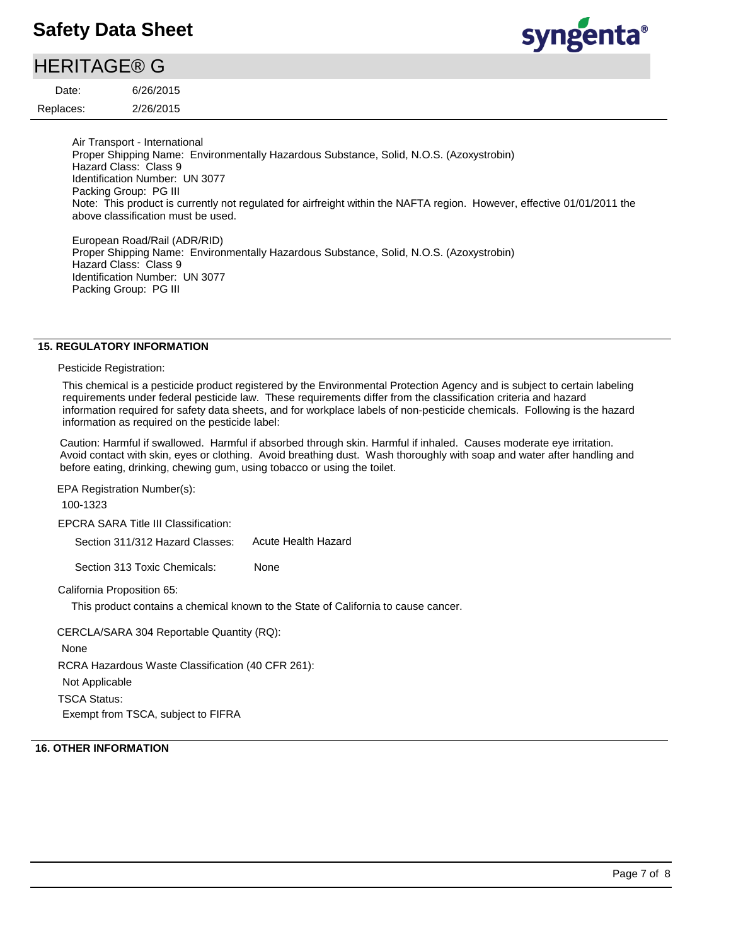# syngenta®

### 2/26/2015 6/26/2015 Replaces: Date: **HERITAGE® G**

Air Transport - International Proper Shipping Name: Environmentally Hazardous Substance, Solid, N.O.S. (Azoxystrobin) Hazard Class: Class 9 Identification Number: UN 3077 Packing Group: PG III Note: This product is currently not regulated for airfreight within the NAFTA region. However, effective 01/01/2011 the above classification must be used.

European Road/Rail (ADR/RID) Proper Shipping Name: Environmentally Hazardous Substance, Solid, N.O.S. (Azoxystrobin) Hazard Class: Class 9 Identification Number: UN 3077 Packing Group: PG III

### **15. REGULATORY INFORMATION**

### Pesticide Registration:

This chemical is a pesticide product registered by the Environmental Protection Agency and is subject to certain labeling requirements under federal pesticide law. These requirements differ from the classification criteria and hazard information required for safety data sheets, and for workplace labels of non-pesticide chemicals. Following is the hazard information as required on the pesticide label:

Caution: Harmful if swallowed. Harmful if absorbed through skin. Harmful if inhaled. Causes moderate eye irritation. Avoid contact with skin, eyes or clothing. Avoid breathing dust. Wash thoroughly with soap and water after handling and before eating, drinking, chewing gum, using tobacco or using the toilet.

EPA Registration Number(s):

100-1323

EPCRA SARA Title III Classification:

Section 311/312 Hazard Classes: Acute Health Hazard

Section 313 Toxic Chemicals: None

California Proposition 65:

This product contains a chemical known to the State of California to cause cancer.

CERCLA/SARA 304 Reportable Quantity (RQ):

None

RCRA Hazardous Waste Classification (40 CFR 261):

Not Applicable

TSCA Status:

Exempt from TSCA, subject to FIFRA

### **16. OTHER INFORMATION**